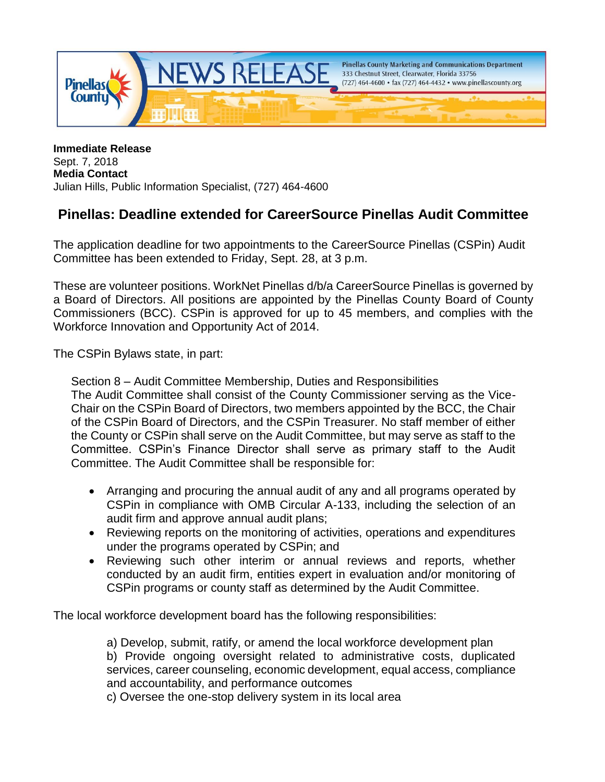

**Immediate Release** Sept. 7, 2018 **Media Contact** Julian Hills, Public Information Specialist, (727) 464-4600

## **Pinellas: Deadline extended for CareerSource Pinellas Audit Committee**

The application deadline for two appointments to the CareerSource Pinellas (CSPin) Audit Committee has been extended to Friday, Sept. 28, at 3 p.m.

These are volunteer positions. WorkNet Pinellas d/b/a CareerSource Pinellas is governed by a Board of Directors. All positions are appointed by the Pinellas County Board of County Commissioners (BCC). CSPin is approved for up to 45 members, and complies with the Workforce Innovation and Opportunity Act of 2014.

The CSPin Bylaws state, in part:

Section 8 – Audit Committee Membership, Duties and Responsibilities The Audit Committee shall consist of the County Commissioner serving as the Vice-Chair on the CSPin Board of Directors, two members appointed by the BCC, the Chair of the CSPin Board of Directors, and the CSPin Treasurer. No staff member of either the County or CSPin shall serve on the Audit Committee, but may serve as staff to the Committee. CSPin's Finance Director shall serve as primary staff to the Audit Committee. The Audit Committee shall be responsible for:

- Arranging and procuring the annual audit of any and all programs operated by CSPin in compliance with OMB Circular A-133, including the selection of an audit firm and approve annual audit plans;
- Reviewing reports on the monitoring of activities, operations and expenditures under the programs operated by CSPin; and
- Reviewing such other interim or annual reviews and reports, whether conducted by an audit firm, entities expert in evaluation and/or monitoring of CSPin programs or county staff as determined by the Audit Committee.

The local workforce development board has the following responsibilities:

a) Develop, submit, ratify, or amend the local workforce development plan b) Provide ongoing oversight related to administrative costs, duplicated services, career counseling, economic development, equal access, compliance and accountability, and performance outcomes

c) Oversee the one-stop delivery system in its local area